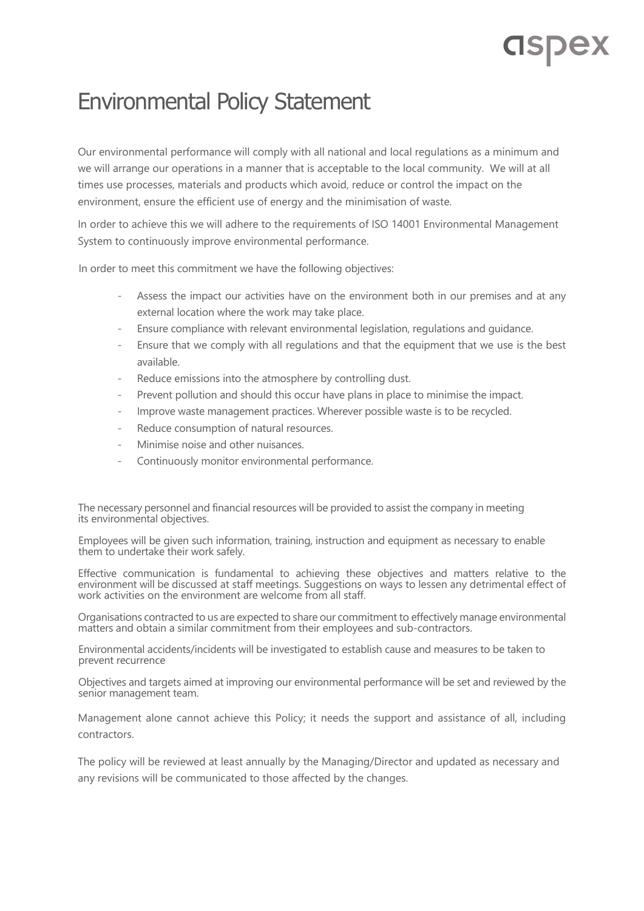## **CISPEX**

## Environmental Policy Statement

Our environmental performance will comply with all national and local regulations as a minimum and we will arrange our operations in a manner that is acceptable to the local community. We will at all times use processes, materials and products which avoid, reduce or control the impact on the environment, ensure the efficient use of energy and the minimisation of waste.

In order to achieve this we will adhere to the requirements of ISO 14001 Environmental Management System to continuously improve environmental performance.

In order to meet this commitment we have the following objectives:

- Assess the impact our activities have on the environment both in our premises and at any external location where the work may take place.
- Ensure compliance with relevant environmental legislation, regulations and guidance.
- Ensure that we comply with all regulations and that the equipment that we use is the best available.
- Reduce emissions into the atmosphere by controlling dust.
- Prevent pollution and should this occur have plans in place to minimise the impact.
- Improve waste management practices. Wherever possible waste is to be recycled.
- Reduce consumption of natural resources.
- Minimise noise and other nuisances.
- Continuously monitor environmental performance.

The necessary personnel and financial resources will be provided to assist the company in meeting its environmental objectives.

Employees will be given such information, training, instruction and equipment as necessary to enable them to undertake their work safely.

Effective communication is fundamental to achieving these objectives and matters relative to the environment will be discussed at staff meetings. Suggestions on ways to lessen any detrimental effect of work activities on the environment are welcome from all staff.

Organisations contracted to us are expected to share our commitment to effectively manage environmental matters and obtain a similar commitment from their employees and sub-contractors.

Environmental accidents/incidents will be investigated to establish cause and measures to be taken to prevent recurrence

Objectives and targets aimed at improving our environmental performance will be set and reviewed by the senior management team.

Management alone cannot achieve this Policy; it needs the support and assistance of all, including contractors.

The policy will be reviewed at least annually by the Managing/Director and updated as necessary and any revisions will be communicated to those affected by the changes.